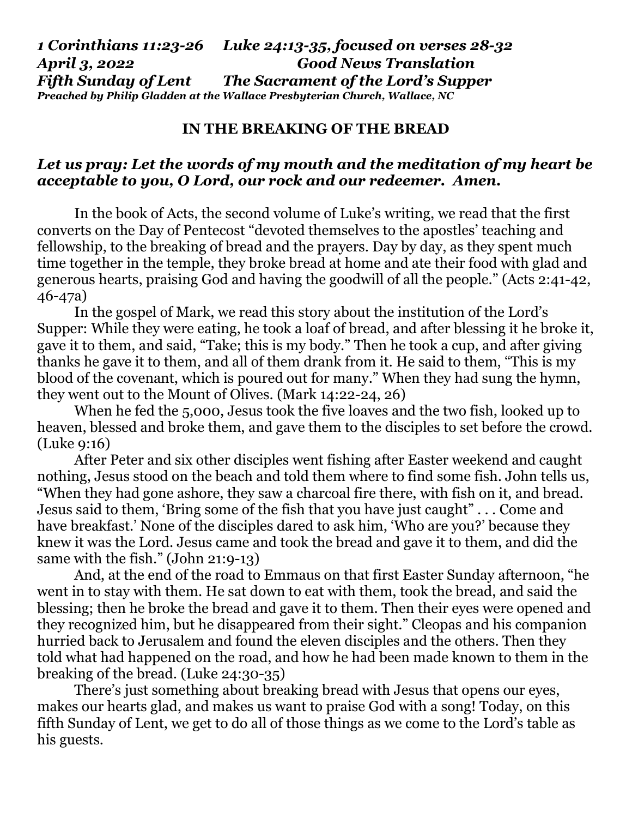*1 Corinthians 11:23-26 Luke 24:13-35, focused on verses 28-32 April 3, 2022 Good News Translation Fifth Sunday of Lent The Sacrament of the Lord's Supper Preached by Philip Gladden at the Wallace Presbyterian Church, Wallace, NC* 

## **IN THE BREAKING OF THE BREAD**

## *Let us pray: Let the words of my mouth and the meditation of my heart be acceptable to you, O Lord, our rock and our redeemer. Amen.*

 In the book of Acts, the second volume of Luke's writing, we read that the first converts on the Day of Pentecost "devoted themselves to the apostles' teaching and fellowship, to the breaking of bread and the prayers. Day by day, as they spent much time together in the temple, they broke bread at home and ate their food with glad and generous hearts, praising God and having the goodwill of all the people." (Acts 2:41-42, 46-47a)

 In the gospel of Mark, we read this story about the institution of the Lord's Supper: While they were eating, he took a loaf of bread, and after blessing it he broke it, gave it to them, and said, "Take; this is my body." Then he took a cup, and after giving thanks he gave it to them, and all of them drank from it. He said to them, "This is my blood of the covenant, which is poured out for many." When they had sung the hymn, they went out to the Mount of Olives. (Mark 14:22-24, 26)

 When he fed the 5,000, Jesus took the five loaves and the two fish, looked up to heaven, blessed and broke them, and gave them to the disciples to set before the crowd. (Luke 9:16)

 After Peter and six other disciples went fishing after Easter weekend and caught nothing, Jesus stood on the beach and told them where to find some fish. John tells us, "When they had gone ashore, they saw a charcoal fire there, with fish on it, and bread. Jesus said to them, 'Bring some of the fish that you have just caught" . . . Come and have breakfast.' None of the disciples dared to ask him, 'Who are you?' because they knew it was the Lord. Jesus came and took the bread and gave it to them, and did the same with the fish." (John 21:9-13)

 And, at the end of the road to Emmaus on that first Easter Sunday afternoon, "he went in to stay with them. He sat down to eat with them, took the bread, and said the blessing; then he broke the bread and gave it to them. Then their eyes were opened and they recognized him, but he disappeared from their sight." Cleopas and his companion hurried back to Jerusalem and found the eleven disciples and the others. Then they told what had happened on the road, and how he had been made known to them in the breaking of the bread. (Luke 24:30-35)

 There's just something about breaking bread with Jesus that opens our eyes, makes our hearts glad, and makes us want to praise God with a song! Today, on this fifth Sunday of Lent, we get to do all of those things as we come to the Lord's table as his guests.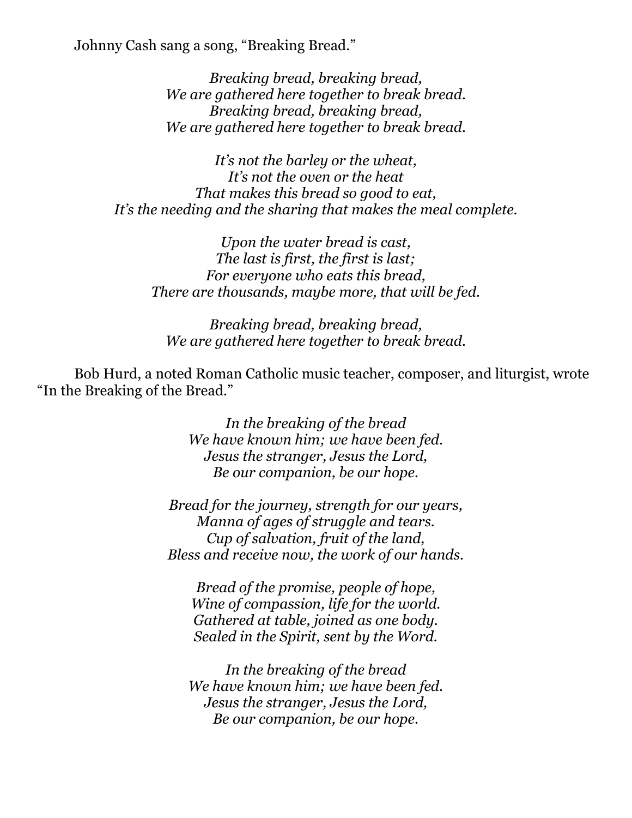Johnny Cash sang a song, "Breaking Bread."

*Breaking bread, breaking bread, We are gathered here together to break bread. Breaking bread, breaking bread, We are gathered here together to break bread.* 

*It's not the barley or the wheat, It's not the oven or the heat That makes this bread so good to eat, It's the needing and the sharing that makes the meal complete.* 

*Upon the water bread is cast, The last is first, the first is last; For everyone who eats this bread, There are thousands, maybe more, that will be fed.* 

*Breaking bread, breaking bread, We are gathered here together to break bread.* 

 Bob Hurd, a noted Roman Catholic music teacher, composer, and liturgist, wrote "In the Breaking of the Bread."

> *In the breaking of the bread We have known him; we have been fed. Jesus the stranger, Jesus the Lord, Be our companion, be our hope.*

*Bread for the journey, strength for our years, Manna of ages of struggle and tears. Cup of salvation, fruit of the land, Bless and receive now, the work of our hands.* 

*Bread of the promise, people of hope, Wine of compassion, life for the world. Gathered at table, joined as one body. Sealed in the Spirit, sent by the Word.* 

*In the breaking of the bread We have known him; we have been fed. Jesus the stranger, Jesus the Lord, Be our companion, be our hope.*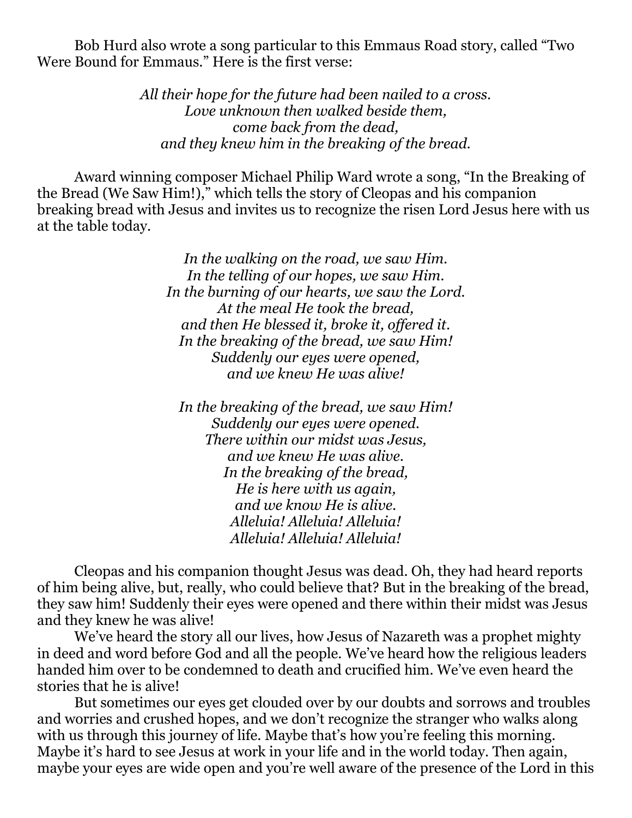Bob Hurd also wrote a song particular to this Emmaus Road story, called "Two Were Bound for Emmaus." Here is the first verse:

> *All their hope for the future had been nailed to a cross. Love unknown then walked beside them, come back from the dead, and they knew him in the breaking of the bread.*

 Award winning composer Michael Philip Ward wrote a song, "In the Breaking of the Bread (We Saw Him!)," which tells the story of Cleopas and his companion breaking bread with Jesus and invites us to recognize the risen Lord Jesus here with us at the table today.

> *In the walking on the road, we saw Him. In the telling of our hopes, we saw Him. In the burning of our hearts, we saw the Lord. At the meal He took the bread, and then He blessed it, broke it, offered it. In the breaking of the bread, we saw Him! Suddenly our eyes were opened, and we knew He was alive!*

*In the breaking of the bread, we saw Him! Suddenly our eyes were opened. There within our midst was Jesus, and we knew He was alive. In the breaking of the bread, He is here with us again, and we know He is alive. Alleluia! Alleluia! Alleluia! Alleluia! Alleluia! Alleluia!* 

 Cleopas and his companion thought Jesus was dead. Oh, they had heard reports of him being alive, but, really, who could believe that? But in the breaking of the bread, they saw him! Suddenly their eyes were opened and there within their midst was Jesus and they knew he was alive!

 We've heard the story all our lives, how Jesus of Nazareth was a prophet mighty in deed and word before God and all the people. We've heard how the religious leaders handed him over to be condemned to death and crucified him. We've even heard the stories that he is alive!

 But sometimes our eyes get clouded over by our doubts and sorrows and troubles and worries and crushed hopes, and we don't recognize the stranger who walks along with us through this journey of life. Maybe that's how you're feeling this morning. Maybe it's hard to see Jesus at work in your life and in the world today. Then again, maybe your eyes are wide open and you're well aware of the presence of the Lord in this